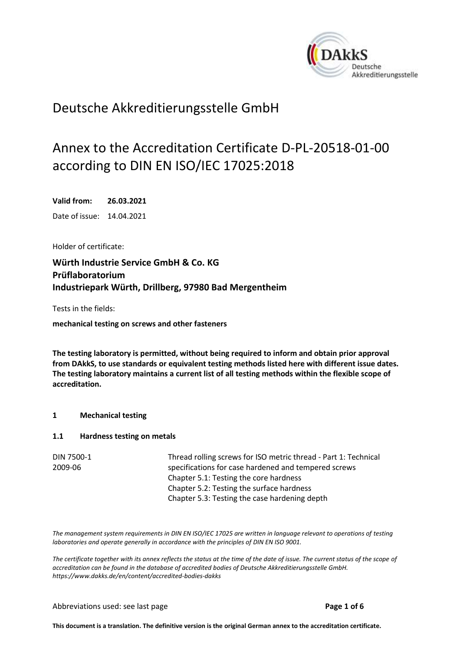<span id="page-0-0"></span>

## Deutsche Akkreditierungsstelle GmbH

# Annex to the Accreditation Certificate D-PL-20518-01-00 according to DIN EN ISO/IEC 17025:2018

<span id="page-0-2"></span><span id="page-0-1"></span>**Valid from: 26.03.2021** Date of issue: 14.04.2021

Holder of certificate:

**Würth Industrie Service GmbH & Co. KG Prüflaboratorium Industriepark Würth, Drillberg, 97980 Bad Mergentheim**

Tests in the fields:

**mechanical testing on screws and other fasteners**

**The testing laboratory is permitted, without being required to inform and obtain prior approval from DAkkS, to use standards or equivalent testing methods listed here with different issue dates. The testing laboratory maintains a current list of all testing methods within the flexible scope of accreditation.**

### **1 Mechanical testing**

#### **1.1 Hardness testing on metals**

| DIN 7500-1 | Thread rolling screws for ISO metric thread - Part 1: Technical |
|------------|-----------------------------------------------------------------|
| 2009-06    | specifications for case hardened and tempered screws            |
|            | Chapter 5.1: Testing the core hardness                          |
|            | Chapter 5.2: Testing the surface hardness                       |
|            | Chapter 5.3: Testing the case hardening depth                   |

*The management system requirements in DIN EN ISO/IEC 17025 are written in language relevant to operations of testing laboratories and operate generally in accordance with the principles of DIN EN ISO 9001.*

*The certificate together with its annex reflects the status at the time of the date of issue. The current status of the scope of accreditation can be found in the database of accredited bodies of Deutsche Akkreditierungsstelle GmbH. <https://www.dakks.de/en/content/accredited-bodies-dakks>*

#### Abbreviations used: see last page **Page 1 of 6**

**This document is a translation. The definitive version is the original German annex to the accreditation certificate.**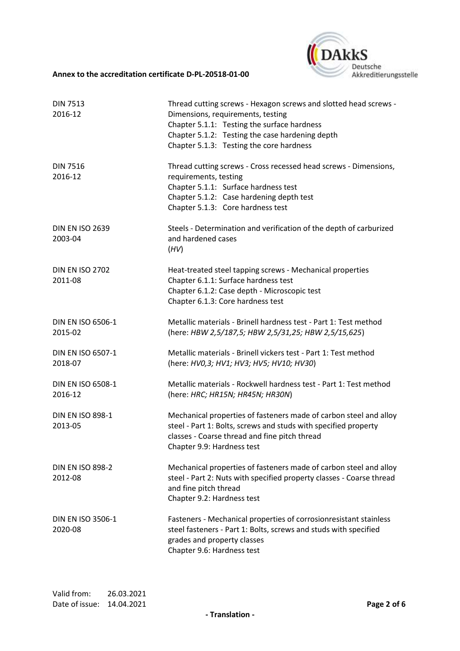

| <b>DIN 7513</b><br>2016-12          | Thread cutting screws - Hexagon screws and slotted head screws -<br>Dimensions, requirements, testing<br>Chapter 5.1.1: Testing the surface hardness<br>Chapter 5.1.2: Testing the case hardening depth<br>Chapter 5.1.3: Testing the core hardness |
|-------------------------------------|-----------------------------------------------------------------------------------------------------------------------------------------------------------------------------------------------------------------------------------------------------|
| <b>DIN 7516</b><br>2016-12          | Thread cutting screws - Cross recessed head screws - Dimensions,<br>requirements, testing<br>Chapter 5.1.1: Surface hardness test<br>Chapter 5.1.2: Case hardening depth test<br>Chapter 5.1.3: Core hardness test                                  |
| <b>DIN EN ISO 2639</b><br>2003-04   | Steels - Determination and verification of the depth of carburized<br>and hardened cases<br>(HV)                                                                                                                                                    |
| <b>DIN EN ISO 2702</b><br>2011-08   | Heat-treated steel tapping screws - Mechanical properties<br>Chapter 6.1.1: Surface hardness test<br>Chapter 6.1.2: Case depth - Microscopic test<br>Chapter 6.1.3: Core hardness test                                                              |
| <b>DIN EN ISO 6506-1</b><br>2015-02 | Metallic materials - Brinell hardness test - Part 1: Test method<br>(here: HBW 2,5/187,5; HBW 2,5/31,25; HBW 2,5/15,625)                                                                                                                            |
| DIN EN ISO 6507-1<br>2018-07        | Metallic materials - Brinell vickers test - Part 1: Test method<br>(here: HV0,3; HV1; HV3; HV5; HV10; HV30)                                                                                                                                         |
| DIN EN ISO 6508-1<br>2016-12        | Metallic materials - Rockwell hardness test - Part 1: Test method<br>(here: HRC; HR15N; HR45N; HR30N)                                                                                                                                               |
| <b>DIN EN ISO 898-1</b><br>2013-05  | Mechanical properties of fasteners made of carbon steel and alloy<br>steel - Part 1: Bolts, screws and studs with specified property<br>classes - Coarse thread and fine pitch thread<br>Chapter 9.9: Hardness test                                 |
| <b>DIN EN ISO 898-2</b><br>2012-08  | Mechanical properties of fasteners made of carbon steel and alloy<br>steel - Part 2: Nuts with specified property classes - Coarse thread<br>and fine pitch thread<br>Chapter 9.2: Hardness test                                                    |
| <b>DIN EN ISO 3506-1</b><br>2020-08 | Fasteners - Mechanical properties of corrosionresistant stainless<br>steel fasteners - Part 1: Bolts, screws and studs with specified<br>grades and property classes<br>Chapter 9.6: Hardness test                                                  |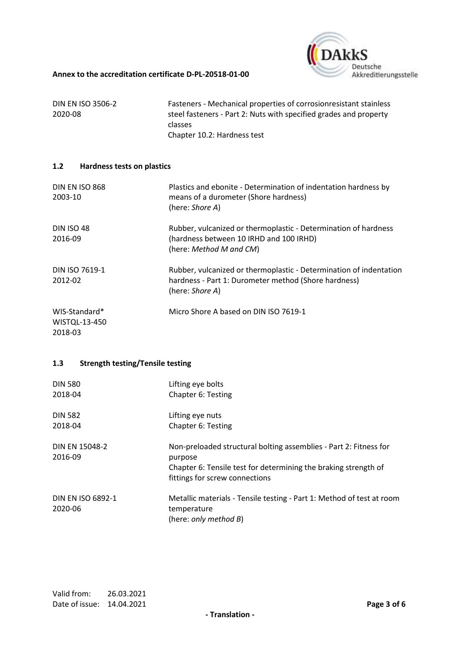

| <b>DIN EN ISO 3506-2</b> | Fasteners - Mechanical properties of corrosion resistant stainless |
|--------------------------|--------------------------------------------------------------------|
| 2020-08                  | steel fasteners - Part 2: Nuts with specified grades and property  |
|                          | <b>classes</b>                                                     |
|                          | Chapter 10.2: Hardness test                                        |

#### **1.2 Hardness tests on plastics**

| <b>DIN EN ISO 868</b><br>2003-10          | Plastics and ebonite - Determination of indentation hardness by<br>means of a durometer (Shore hardness)<br>(here: Shore A)                   |
|-------------------------------------------|-----------------------------------------------------------------------------------------------------------------------------------------------|
| <b>DIN ISO 48</b><br>2016-09              | Rubber, vulcanized or thermoplastic - Determination of hardness<br>(hardness between 10 IRHD and 100 IRHD)<br>(here: Method M and CM)         |
| DIN ISO 7619-1<br>2012-02                 | Rubber, vulcanized or thermoplastic - Determination of indentation<br>hardness - Part 1: Durometer method (Shore hardness)<br>(here: Shore A) |
| WIS-Standard*<br>WISTQL-13-450<br>2018-03 | Micro Shore A based on DIN ISO 7619-1                                                                                                         |

#### **1.3 Strength testing/Tensile testing**

| <b>DIN 580</b>                      | Lifting eye bolts                                                                                                                                                                 |
|-------------------------------------|-----------------------------------------------------------------------------------------------------------------------------------------------------------------------------------|
| 2018-04                             | Chapter 6: Testing                                                                                                                                                                |
| <b>DIN 582</b>                      | Lifting eye nuts                                                                                                                                                                  |
| 2018-04                             | Chapter 6: Testing                                                                                                                                                                |
| DIN EN 15048-2<br>2016-09           | Non-preloaded structural bolting assemblies - Part 2: Fitness for<br>purpose<br>Chapter 6: Tensile test for determining the braking strength of<br>fittings for screw connections |
| <b>DIN EN ISO 6892-1</b><br>2020-06 | Metallic materials - Tensile testing - Part 1: Method of test at room<br>temperature<br>(here: only method B)                                                                     |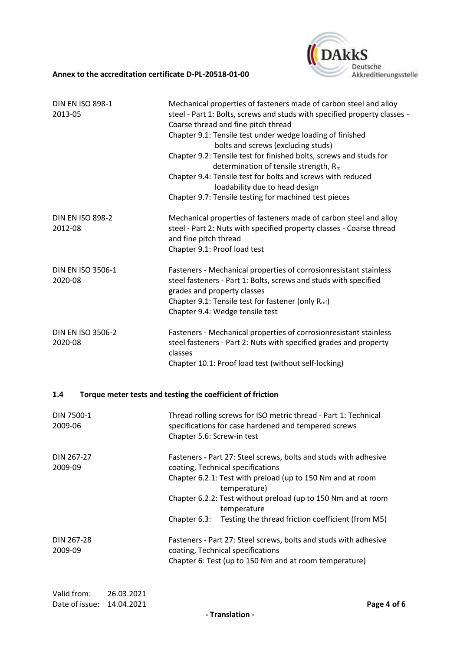

| <b>DIN EN ISO 898-1</b><br>2013-05  | Mechanical properties of fasteners made of carbon steel and alloy<br>steel - Part 1: Bolts, screws and studs with specified property classes -<br>Coarse thread and fine pitch thread<br>Chapter 9.1: Tensile test under wedge loading of finished<br>bolts and screws (excluding studs)<br>Chapter 9.2: Tensile test for finished bolts, screws and studs for<br>determination of tensile strength, R <sub>m</sub><br>Chapter 9.4: Tensile test for bolts and screws with reduced<br>loadability due to head design<br>Chapter 9.7: Tensile testing for machined test pieces |
|-------------------------------------|-------------------------------------------------------------------------------------------------------------------------------------------------------------------------------------------------------------------------------------------------------------------------------------------------------------------------------------------------------------------------------------------------------------------------------------------------------------------------------------------------------------------------------------------------------------------------------|
| <b>DIN EN ISO 898-2</b><br>2012-08  | Mechanical properties of fasteners made of carbon steel and alloy<br>steel - Part 2: Nuts with specified property classes - Coarse thread<br>and fine pitch thread<br>Chapter 9.1: Proof load test                                                                                                                                                                                                                                                                                                                                                                            |
| <b>DIN EN ISO 3506-1</b><br>2020-08 | Fasteners - Mechanical properties of corrosionresistant stainless<br>steel fasteners - Part 1: Bolts, screws and studs with specified<br>grades and property classes<br>Chapter 9.1: Tensile test for fastener (only R <sub>mf</sub> )<br>Chapter 9.4: Wedge tensile test                                                                                                                                                                                                                                                                                                     |
| <b>DIN EN ISO 3506-2</b><br>2020-08 | Fasteners - Mechanical properties of corrosionresistant stainless<br>steel fasteners - Part 2: Nuts with specified grades and property<br>classes<br>Chapter 10.1: Proof load test (without self-locking)                                                                                                                                                                                                                                                                                                                                                                     |
| 1.4                                 | Torque meter tests and testing the coefficient of friction                                                                                                                                                                                                                                                                                                                                                                                                                                                                                                                    |
| DIN 7500-1<br>2009-06               | Thread rolling screws for ISO metric thread - Part 1: Technical<br>specifications for case hardened and tempered screws<br>Chapter 5.6: Screw-in test                                                                                                                                                                                                                                                                                                                                                                                                                         |
| DIN 267-27<br>2009-09               | Fasteners - Part 27: Steel screws, bolts and studs with adhesive<br>coating, Technical specifications<br>Chapter 6.2.1: Test with preload (up to 150 Nm and at room<br>temperature)<br>Chapter 6.2.2: Test without preload (up to 150 Nm and at room<br>temperature<br>Testing the thread friction coefficient (from M5)<br>Chapter 6.3:                                                                                                                                                                                                                                      |
| DIN 267-28<br>2009-09               | Fasteners - Part 27: Steel screws, bolts and studs with adhesive<br>coating, Technical specifications<br>Chapter 6: Test (up to 150 Nm and at room temperature)                                                                                                                                                                                                                                                                                                                                                                                                               |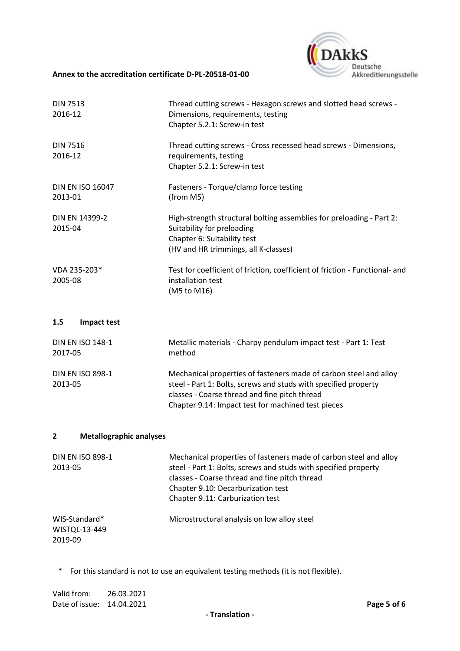

| <b>DIN 7513</b><br>2016-12         | Thread cutting screws - Hexagon screws and slotted head screws -<br>Dimensions, requirements, testing<br>Chapter 5.2.1: Screw-in test                                     |
|------------------------------------|---------------------------------------------------------------------------------------------------------------------------------------------------------------------------|
| <b>DIN 7516</b><br>2016-12         | Thread cutting screws - Cross recessed head screws - Dimensions,<br>requirements, testing<br>Chapter 5.2.1: Screw-in test                                                 |
| <b>DIN EN ISO 16047</b><br>2013-01 | Fasteners - Torque/clamp force testing<br>(from M5)                                                                                                                       |
| <b>DIN EN 14399-2</b><br>2015-04   | High-strength structural bolting assemblies for preloading - Part 2:<br>Suitability for preloading<br>Chapter 6: Suitability test<br>(HV and HR trimmings, all K-classes) |
| VDA 235-203*<br>2005-08            | Test for coefficient of friction, coefficient of friction - Functional- and<br>installation test<br>(M5 to M16)                                                           |
| 1.5<br>Impact test                 |                                                                                                                                                                           |
| <b>DIN EN ISO 148-1</b><br>2017-05 | Metallic materials - Charpy pendulum impact test - Part 1: Test<br>method                                                                                                 |
| <b>DIN EN ISO 898-1</b>            | Mechanical properties of fasteners made of carbon steel and alloy                                                                                                         |

2013-05 steel - Part 1: Bolts, screws and studs with specified property classes - Coarse thread and fine pitch thread Chapter 9.14: Impact test for machined test pieces

#### **2 Metallographic analyses**

| <b>DIN EN ISO 898-1</b><br>2013-05        | Mechanical properties of fasteners made of carbon steel and alloy<br>steel - Part 1: Bolts, screws and studs with specified property<br>classes - Coarse thread and fine pitch thread<br>Chapter 9.10: Decarburization test<br>Chapter 9.11: Carburization test |
|-------------------------------------------|-----------------------------------------------------------------------------------------------------------------------------------------------------------------------------------------------------------------------------------------------------------------|
| WIS-Standard*<br>WISTQL-13-449<br>2019-09 | Microstructural analysis on low alloy steel                                                                                                                                                                                                                     |

\* For this standard is not to use an equivalent testing methods (it is not flexible).

Valid from: [26.03.2021](#page-0-1) Date of issue: [14.04.2021](#page-0-2) **Page 5 of 6**